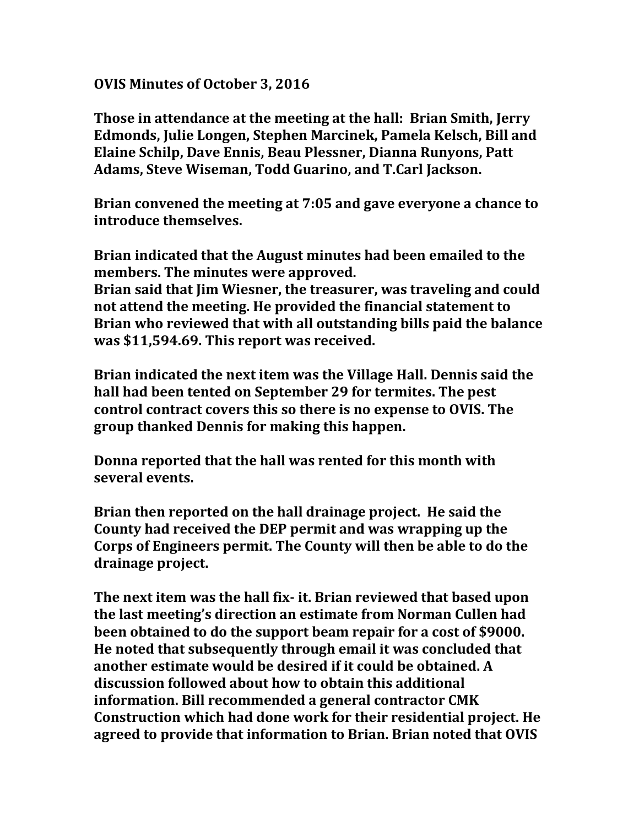**OVIS Minutes of October 3, 2016**

**Those in attendance at the meeting at the hall: Brian Smith, Jerry Edmonds, Julie Longen, Stephen Marcinek, Pamela Kelsch, Bill and Elaine Schilp, Dave Ennis, Beau Plessner, Dianna Runyons, Patt Adams, Steve Wiseman, Todd Guarino, and T.Carl Jackson.**

**Brian convened the meeting at 7:05 and gave everyone a chance to introduce themselves.**

**Brian indicated that the August minutes had been emailed to the members. The minutes were approved.**

**Brian said that Jim Wiesner, the treasurer, was traveling and could not attend the meeting. He provided the financial statement to Brian who reviewed that with all outstanding bills paid the balance was \$11,594.69. This report was received.**

**Brian indicated the next item was the Village Hall. Dennis said the hall had been tented on September 29 for termites. The pest control contract covers this so there is no expense to OVIS. The group thanked Dennis for making this happen.** 

**Donna reported that the hall was rented for this month with several events.**

**Brian then reported on the hall drainage project. He said the County had received the DEP permit and was wrapping up the Corps of Engineers permit. The County will then be able to do the drainage project.**

**The next item was the hall fix- it. Brian reviewed that based upon the last meeting's direction an estimate from Norman Cullen had been obtained to do the support beam repair for a cost of \$9000. He noted that subsequently through email it was concluded that another estimate would be desired if it could be obtained. A discussion followed about how to obtain this additional information. Bill recommended a general contractor CMK Construction which had done work for their residential project. He agreed to provide that information to Brian. Brian noted that OVIS**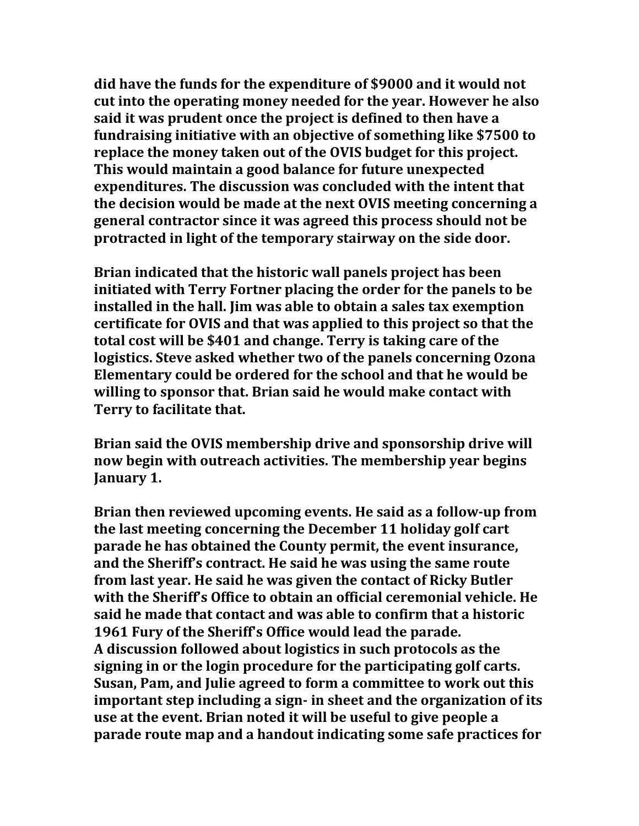**did have the funds for the expenditure of \$9000 and it would not cut into the operating money needed for the year. However he also said it was prudent once the project is defined to then have a fundraising initiative with an objective of something like \$7500 to replace the money taken out of the OVIS budget for this project. This would maintain a good balance for future unexpected expenditures. The discussion was concluded with the intent that the decision would be made at the next OVIS meeting concerning a general contractor since it was agreed this process should not be protracted in light of the temporary stairway on the side door.**

**Brian indicated that the historic wall panels project has been initiated with Terry Fortner placing the order for the panels to be installed in the hall. Jim was able to obtain a sales tax exemption certificate for OVIS and that was applied to this project so that the total cost will be \$401 and change. Terry is taking care of the logistics. Steve asked whether two of the panels concerning Ozona Elementary could be ordered for the school and that he would be willing to sponsor that. Brian said he would make contact with Terry to facilitate that.**

**Brian said the OVIS membership drive and sponsorship drive will now begin with outreach activities. The membership year begins January 1.**

**Brian then reviewed upcoming events. He said as a follow-up from the last meeting concerning the December 11 holiday golf cart parade he has obtained the County permit, the event insurance, and the Sheriff's contract. He said he was using the same route from last year. He said he was given the contact of Ricky Butler with the Sheriff's Office to obtain an official ceremonial vehicle. He said he made that contact and was able to confirm that a historic 1961 Fury of the Sheriff's Office would lead the parade. A discussion followed about logistics in such protocols as the signing in or the login procedure for the participating golf carts. Susan, Pam, and Julie agreed to form a committee to work out this important step including a sign- in sheet and the organization of its use at the event. Brian noted it will be useful to give people a parade route map and a handout indicating some safe practices for**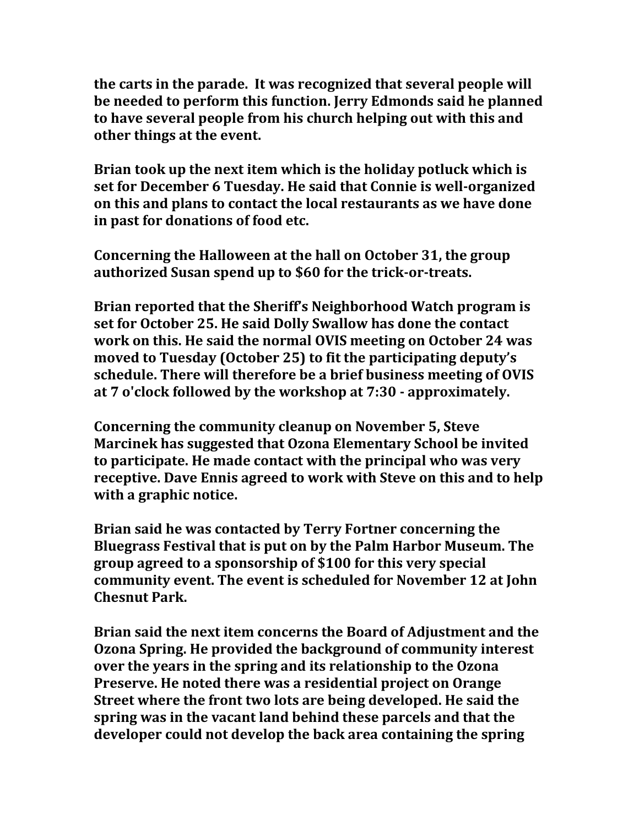**the carts in the parade. It was recognized that several people will be needed to perform this function. Jerry Edmonds said he planned to have several people from his church helping out with this and other things at the event.**

**Brian took up the next item which is the holiday potluck which is set for December 6 Tuesday. He said that Connie is well-organized on this and plans to contact the local restaurants as we have done in past for donations of food etc.**

**Concerning the Halloween at the hall on October 31, the group authorized Susan spend up to \$60 for the trick-or-treats.**

**Brian reported that the Sheriff's Neighborhood Watch program is set for October 25. He said Dolly Swallow has done the contact work on this. He said the normal OVIS meeting on October 24 was moved to Tuesday (October 25) to fit the participating deputy's schedule. There will therefore be a brief business meeting of OVIS at 7 o'clock followed by the workshop at 7:30 - approximately.**

**Concerning the community cleanup on November 5, Steve Marcinek has suggested that Ozona Elementary School be invited to participate. He made contact with the principal who was very receptive. Dave Ennis agreed to work with Steve on this and to help with a graphic notice.**

**Brian said he was contacted by Terry Fortner concerning the Bluegrass Festival that is put on by the Palm Harbor Museum. The group agreed to a sponsorship of \$100 for this very special community event. The event is scheduled for November 12 at John Chesnut Park.**

**Brian said the next item concerns the Board of Adjustment and the Ozona Spring. He provided the background of community interest over the years in the spring and its relationship to the Ozona Preserve. He noted there was a residential project on Orange Street where the front two lots are being developed. He said the spring was in the vacant land behind these parcels and that the developer could not develop the back area containing the spring**